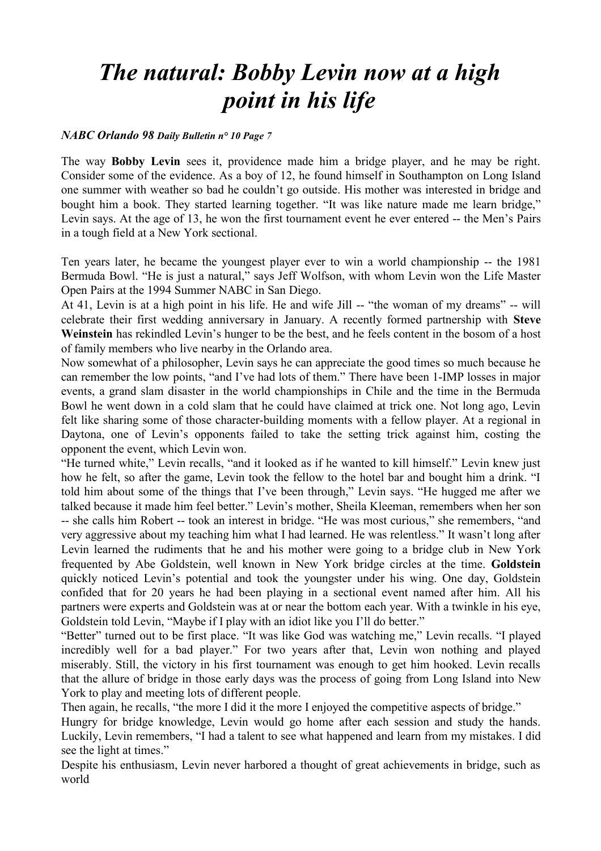## *The natural: Bobby Levin now at a high point in his life*

## *NABC Orlando 98 Daily Bulletin n° 10 Page 7*

The way **Bobby Levin** sees it, providence made him a bridge player, and he may be right. Consider some of the evidence. As a boy of 12, he found himself in Southampton on Long Island one summer with weather so bad he couldn't go outside. His mother was interested in bridge and bought him a book. They started learning together. "It was like nature made me learn bridge," Levin says. At the age of 13, he won the first tournament event he ever entered -- the Men's Pairs in a tough field at a New York sectional.

Ten years later, he became the youngest player ever to win a world championship -- the 1981 Bermuda Bowl. "He is just a natural," says Jeff Wolfson, with whom Levin won the Life Master Open Pairs at the 1994 Summer NABC in San Diego.

At 41, Levin is at a high point in his life. He and wife Jill -- "the woman of my dreams" -- will celebrate their first wedding anniversary in January. A recently formed partnership with **Steve Weinstein** has rekindled Levin's hunger to be the best, and he feels content in the bosom of a host of family members who live nearby in the Orlando area.

Now somewhat of a philosopher, Levin says he can appreciate the good times so much because he can remember the low points, "and I've had lots of them." There have been 1-IMP losses in major events, a grand slam disaster in the world championships in Chile and the time in the Bermuda Bowl he went down in a cold slam that he could have claimed at trick one. Not long ago, Levin felt like sharing some of those character-building moments with a fellow player. At a regional in Daytona, one of Levin's opponents failed to take the setting trick against him, costing the opponent the event, which Levin won.

"He turned white," Levin recalls, "and it looked as if he wanted to kill himself." Levin knew just how he felt, so after the game, Levin took the fellow to the hotel bar and bought him a drink. "I told him about some of the things that I've been through," Levin says. "He hugged me after we talked because it made him feel better." Levin's mother, Sheila Kleeman, remembers when her son -- she calls him Robert -- took an interest in bridge. "He was most curious," she remembers, "and very aggressive about my teaching him what I had learned. He was relentless." It wasn't long after Levin learned the rudiments that he and his mother were going to a bridge club in New York frequented by Abe Goldstein, well known in New York bridge circles at the time. **Goldstein** quickly noticed Levin's potential and took the youngster under his wing. One day, Goldstein confided that for 20 years he had been playing in a sectional event named after him. All his partners were experts and Goldstein was at or near the bottom each year. With a twinkle in his eye, Goldstein told Levin, "Maybe if I play with an idiot like you I'll do better."

"Better" turned out to be first place. "It was like God was watching me," Levin recalls. "I played incredibly well for a bad player." For two years after that, Levin won nothing and played miserably. Still, the victory in his first tournament was enough to get him hooked. Levin recalls that the allure of bridge in those early days was the process of going from Long Island into New York to play and meeting lots of different people.

Then again, he recalls, "the more I did it the more I enjoyed the competitive aspects of bridge."

Hungry for bridge knowledge, Levin would go home after each session and study the hands. Luckily, Levin remembers, "I had a talent to see what happened and learn from my mistakes. I did see the light at times."

Despite his enthusiasm, Levin never harbored a thought of great achievements in bridge, such as world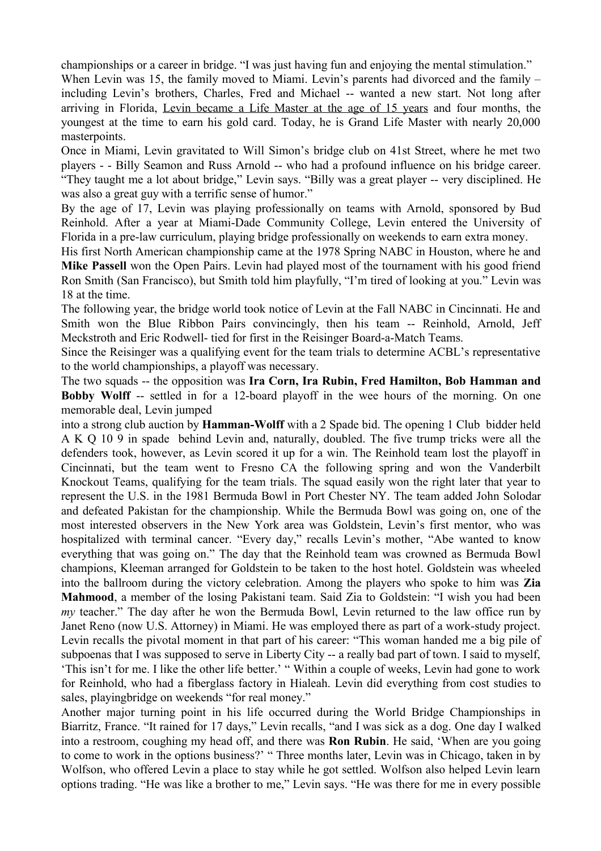championships or a career in bridge. "I was just having fun and enjoying the mental stimulation."

When Levin was 15, the family moved to Miami. Levin's parents had divorced and the family – including Levin's brothers, Charles, Fred and Michael -- wanted a new start. Not long after arriving in Florida, Levin became a Life Master at the age of 15 years and four months, the youngest at the time to earn his gold card. Today, he is Grand Life Master with nearly 20,000 masterpoints.

Once in Miami, Levin gravitated to Will Simon's bridge club on 41st Street, where he met two players - - Billy Seamon and Russ Arnold -- who had a profound influence on his bridge career. "They taught me a lot about bridge," Levin says. "Billy was a great player -- very disciplined. He was also a great guy with a terrific sense of humor."

By the age of 17, Levin was playing professionally on teams with Arnold, sponsored by Bud Reinhold. After a year at Miami-Dade Community College, Levin entered the University of Florida in a pre-law curriculum, playing bridge professionally on weekends to earn extra money.

His first North American championship came at the 1978 Spring NABC in Houston, where he and **Mike Passell** won the Open Pairs. Levin had played most of the tournament with his good friend Ron Smith (San Francisco), but Smith told him playfully, "I'm tired of looking at you." Levin was 18 at the time.

The following year, the bridge world took notice of Levin at the Fall NABC in Cincinnati. He and Smith won the Blue Ribbon Pairs convincingly, then his team -- Reinhold, Arnold, Jeff Meckstroth and Eric Rodwell- tied for first in the Reisinger Board-a-Match Teams.

Since the Reisinger was a qualifying event for the team trials to determine ACBL's representative to the world championships, a playoff was necessary.

The two squads -- the opposition was **Ira Corn, Ira Rubin, Fred Hamilton, Bob Hamman and Bobby Wolff** -- settled in for a 12-board playoff in the wee hours of the morning. On one memorable deal, Levin jumped

into a strong club auction by **Hamman-Wolff** with a 2 Spade bid. The opening 1 Club bidder held A K Q 10 9 in spade behind Levin and, naturally, doubled. The five trump tricks were all the defenders took, however, as Levin scored it up for a win. The Reinhold team lost the playoff in Cincinnati, but the team went to Fresno CA the following spring and won the Vanderbilt Knockout Teams, qualifying for the team trials. The squad easily won the right later that year to represent the U.S. in the 1981 Bermuda Bowl in Port Chester NY. The team added John Solodar and defeated Pakistan for the championship. While the Bermuda Bowl was going on, one of the most interested observers in the New York area was Goldstein, Levin's first mentor, who was hospitalized with terminal cancer. "Every day," recalls Levin's mother, "Abe wanted to know everything that was going on." The day that the Reinhold team was crowned as Bermuda Bowl champions, Kleeman arranged for Goldstein to be taken to the host hotel. Goldstein was wheeled into the ballroom during the victory celebration. Among the players who spoke to him was **Zia Mahmood**, a member of the losing Pakistani team. Said Zia to Goldstein: "I wish you had been *my* teacher." The day after he won the Bermuda Bowl, Levin returned to the law office run by Janet Reno (now U.S. Attorney) in Miami. He was employed there as part of a work-study project. Levin recalls the pivotal moment in that part of his career: "This woman handed me a big pile of subpoenas that I was supposed to serve in Liberty City -- a really bad part of town. I said to myself, 'This isn't for me. I like the other life better.' " Within a couple of weeks, Levin had gone to work for Reinhold, who had a fiberglass factory in Hialeah. Levin did everything from cost studies to sales, playingbridge on weekends "for real money."

Another major turning point in his life occurred during the World Bridge Championships in Biarritz, France. "It rained for 17 days," Levin recalls, "and I was sick as a dog. One day I walked into a restroom, coughing my head off, and there was **Ron Rubin**. He said, 'When are you going to come to work in the options business?' " Three months later, Levin was in Chicago, taken in by Wolfson, who offered Levin a place to stay while he got settled. Wolfson also helped Levin learn options trading. "He was like a brother to me," Levin says. "He was there for me in every possible